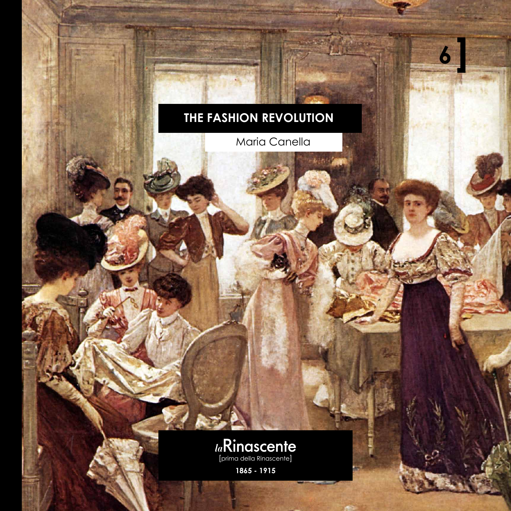## **The fashion revolution**

Maria Canella

**6**

**Allega Title** 

**Nothern** 



**1865 - 1915**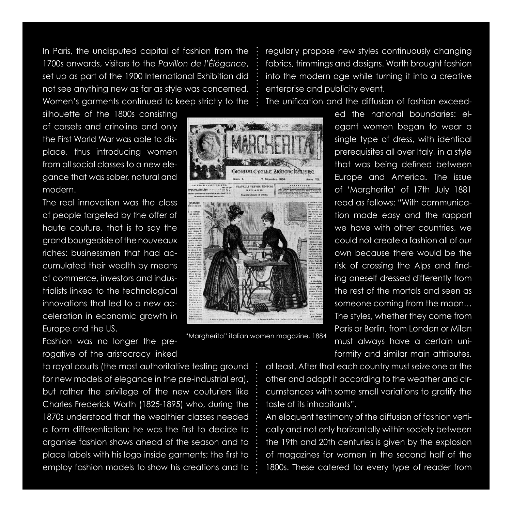In Paris, the undisputed capital of fashion from the 1700s onwards, visitors to the *Pavillon de l'Élégance*, set up as part of the 1900 International Exhibition did not see anything new as far as style was concerned. Women's garments continued to keep strictly to the

silhouette of the 1800s consisting of corsets and crinoline and only the First World War was able to displace, thus introducing women from all social classes to a new elegance that was sober, natural and modern.

The real innovation was the class of people targeted by the offer of haute couture, that is to say the grand bourgeoisie of the nouveaux riches: businessmen that had accumulated their wealth by means of commerce, investors and industrialists linked to the technological innovations that led to a new acceleration in economic growth in Europe and the US.

Fashion was no longer the prerogative of the aristocracy linked

to royal courts (the most authoritative testing ground for new models of elegance in the pre-industrial era), but rather the privilege of the new couturiers like Charles Frederick Worth (1825-1895) who, during the 1870s understood that the wealthier classes needed a form differentiation: he was the first to decide to organise fashion shows ahead of the season and to place labels with his logo inside garments; the first to employ fashion models to show his creations and to regularly propose new styles continuously changing fabrics, trimmings and designs. Worth brought fashion into the modern age while turning it into a creative enterprise and publicity event.

The unification and the diffusion of fashion exceed-

ed the national boundaries: elegant women began to wear a single type of dress, with identical prerequisites all over Italy, in a style that was being defined between Europe and America. The issue of 'Margherita' of 17th July 1881 read as follows: "With communication made easy and the rapport we have with other countries, we could not create a fashion all of our own because there would be the risk of crossing the Alps and finding oneself dressed differently from the rest of the mortals and seen as someone coming from the moon… The styles, whether they come from Paris or Berlin, from London or Milan must always have a certain uniformity and similar main attributes,

at least. After that each country must seize one or the other and adapt it according to the weather and circumstances with some small variations to gratify the taste of its inhabitants".

An eloquent testimony of the diffusion of fashion vertically and not only horizontally within society between the 19th and 20th centuries is given by the explosion of magazines for women in the second half of the 1800s. These catered for every type of reader from

"Margherita" italian women magazine, 1884